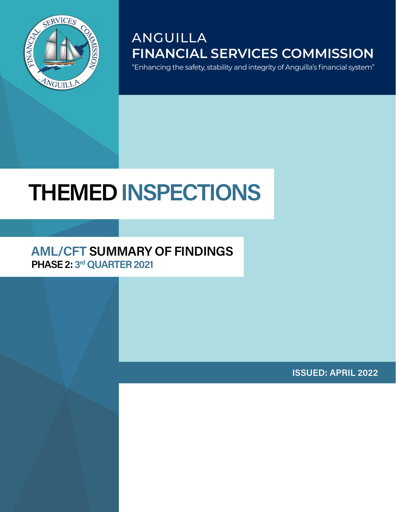

# ANGUILLA **FINANCIAL SERVICES COMMISSION**

"Enhancing the safety, stability and integrity of Anguilla's financial system"

# **THEMED INSPECTIONS**

#### **AML/CFT SUMMARY OF FINDINGS PHASE 2: 3rd QUARTER 2021**

**ISSUED: APRIL 2022**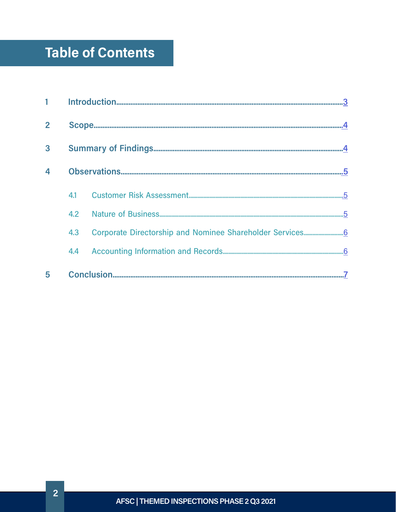# Table of Contents

| $\overline{2}$          |     |  |
|-------------------------|-----|--|
| 3                       |     |  |
| $\overline{\mathbf{4}}$ |     |  |
|                         | 4.1 |  |
|                         |     |  |
|                         | 4.3 |  |
|                         | 4.4 |  |
| 5                       |     |  |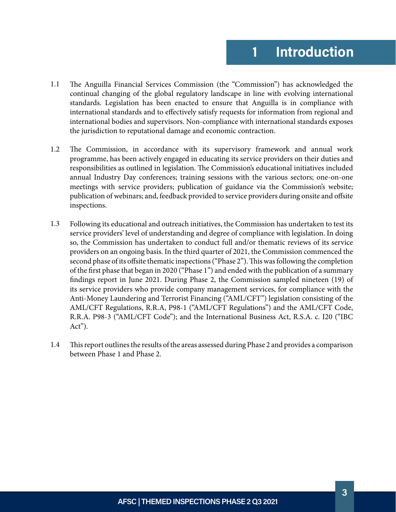- <span id="page-2-0"></span>The Anguilla Financial Services Commission (the "Commission") has acknowledged the continual changing of the global regulatory landscape in line with evolving international standards. Legislation has been enacted to ensure that Anguilla is in compliance with international standards and to effectively satisfy requests for information from regional and international bodies and supervisors. Non-compliance with international standards exposes the jurisdiction to reputational damage and economic contraction. 1.1
- The Commission, in accordance with its supervisory framework and annual work programme, has been actively engaged in educating its service providers on their duties and responsibilities as outlined in legislation. The Commission's educational initiatives included annual Industry Day conferences; training sessions with the various sectors; one-on-one meetings with service providers; publication of guidance via the Commission's website; publication of webinars; and, feedback provided to service providers during onsite and offsite inspections. 1.2
- Following its educational and outreach initiatives, the Commission has undertaken to test its service providers' level of understanding and degree of compliance with legislation. In doing so, the Commission has undertaken to conduct full and/or thematic reviews of its service providers on an ongoing basis. In the third quarter of 2021, the Commission commenced the second phase of its offsite thematic inspections ("Phase 2"). This was following the completion of the first phase that began in 2020 ("Phase 1") and ended with the publication of a summary findings report in June 2021. During Phase 2, the Commission sampled nineteen (19) of its service providers who provide company management services, for compliance with the Anti-Money Laundering and Terrorist Financing ("AML/CFT") legislation consisting of the AML/CFT Regulations, R.R.A, P98-1 ("AML/CFT Regulations") and the AML/CFT Code, R.R.A. P98-3 ("AML/CFT Code"); and the International Business Act, R.S.A. c. I20 ("IBC Act"). 1.3
- This report outlines the results of the areas assessed during Phase 2 and provides a comparison between Phase 1 and Phase 2. 1.4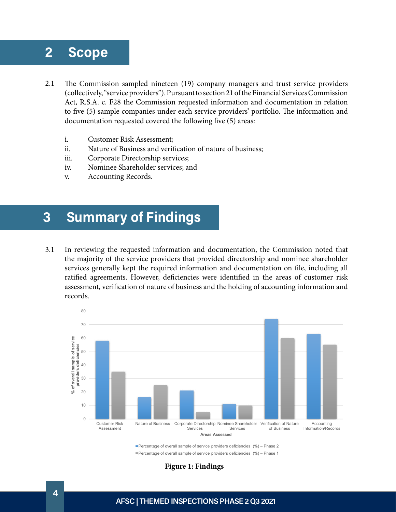### <span id="page-3-0"></span>**2 Scope**

- The Commission sampled nineteen (19) company managers and trust service providers (collectively, "service providers"). Pursuant to section 21 of the Financial Services Commission Act, R.S.A. c. F28 the Commission requested information and documentation in relation to five (5) sample companies under each service providers' portfolio. The information and documentation requested covered the following five (5) areas: 2.1
	- i. Customer Risk Assessment;
	- ii. Nature of Business and verification of nature of business;
	- iii. Corporate Directorship services;
	- iv. Nominee Shareholder services; and
	- v. Accounting Records.

## **3 Summary of Findings**

In reviewing the requested information and documentation, the Commission noted that the majority of the service providers that provided directorship and nominee shareholder services generally kept the required information and documentation on file, including all ratified agreements. However, deficiencies were identified in the areas of customer risk assessment, verification of nature of business and the holding of accounting information and records. 3.1



Percentage of overall sample of service providers deficiencies (%) - Phase 2 ■ Percentage of overall sample of service providers deficiencies (%) – Phase 1

**Figure 1: Findings**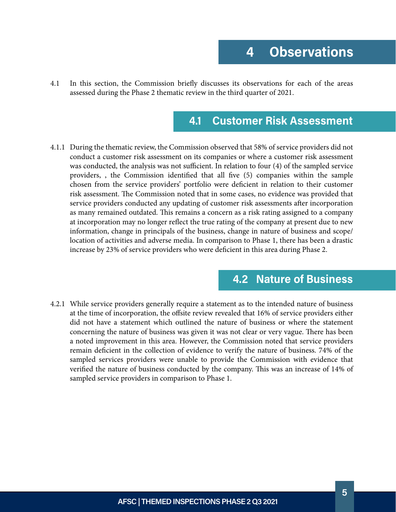<span id="page-4-0"></span>In this section, the Commission briefly discusses its observations for each of the areas assessed during the Phase 2 thematic review in the third quarter of 2021. 4.1

#### **4.1 Customer Risk Assessment**

During the thematic review, the Commission observed that 58% of service providers did not 4.1.1 conduct a customer risk assessment on its companies or where a customer risk assessment was conducted, the analysis was not sufficient. In relation to four (4) of the sampled service providers, , the Commission identified that all five (5) companies within the sample chosen from the service providers' portfolio were deficient in relation to their customer risk assessment. The Commission noted that in some cases, no evidence was provided that service providers conducted any updating of customer risk assessments after incorporation as many remained outdated. This remains a concern as a risk rating assigned to a company at incorporation may no longer reflect the true rating of the company at present due to new information, change in principals of the business, change in nature of business and scope/ location of activities and adverse media. In comparison to Phase 1, there has been a drastic increase by 23% of service providers who were deficient in this area during Phase 2.

#### **4.2 Nature of Business**

While service providers generally require a statement as to the intended nature of business 4.2.1 at the time of incorporation, the offsite review revealed that 16% of service providers either did not have a statement which outlined the nature of business or where the statement concerning the nature of business was given it was not clear or very vague. There has been a noted improvement in this area. However, the Commission noted that service providers remain deficient in the collection of evidence to verify the nature of business. 74% of the sampled services providers were unable to provide the Commission with evidence that verified the nature of business conducted by the company. This was an increase of 14% of sampled service providers in comparison to Phase 1.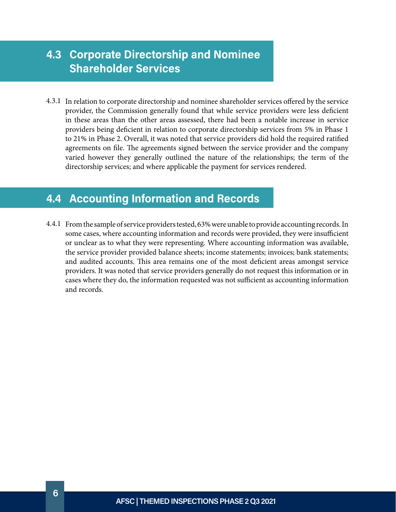#### <span id="page-5-0"></span>**4.3 Corporate Directorship and Nominee Shareholder Services**

4.3.1 In relation to corporate directorship and nominee shareholder services offered by the service provider, the Commission generally found that while service providers were less deficient in these areas than the other areas assessed, there had been a notable increase in service providers being deficient in relation to corporate directorship services from 5% in Phase 1 to 21% in Phase 2. Overall, it was noted that service providers did hold the required ratified agreements on file. The agreements signed between the service provider and the company varied however they generally outlined the nature of the relationships; the term of the directorship services; and where applicable the payment for services rendered.

#### **4.4 Accounting Information and Records**

From the sample of service providers tested, 63% were unable to provide accounting records. In 4.4.1 some cases, where accounting information and records were provided, they were insufficient or unclear as to what they were representing. Where accounting information was available, the service provider provided balance sheets; income statements; invoices; bank statements; and audited accounts. This area remains one of the most deficient areas amongst service providers. It was noted that service providers generally do not request this information or in cases where they do, the information requested was not sufficient as accounting information and records.